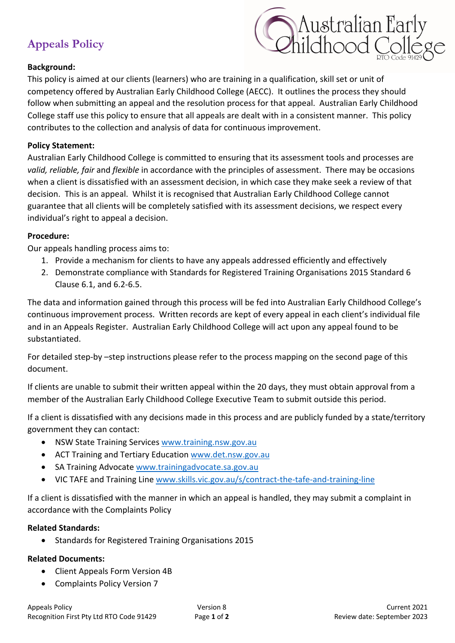# **Appeals Policy**



### **Background:**

This policy is aimed at our clients (learners) who are training in a qualification, skill set or unit of competency offered by Australian Early Childhood College (AECC). It outlines the process they should follow when submitting an appeal and the resolution process for that appeal. Australian Early Childhood College staff use this policy to ensure that all appeals are dealt with in a consistent manner. This policy contributes to the collection and analysis of data for continuous improvement.

#### **Policy Statement:**

Australian Early Childhood College is committed to ensuring that its assessment tools and processes are *valid, reliable, fair* and *flexible* in accordance with the principles of assessment. There may be occasions when a client is dissatisfied with an assessment decision, in which case they make seek a review of that decision. This is an appeal. Whilst it is recognised that Australian Early Childhood College cannot guarantee that all clients will be completely satisfied with its assessment decisions, we respect every individual's right to appeal a decision.

#### **Procedure:**

Our appeals handling process aims to:

- 1. Provide a mechanism for clients to have any appeals addressed efficiently and effectively
- 2. Demonstrate compliance with Standards for Registered Training Organisations 2015 Standard 6 Clause 6.1, and 6.2-6.5.

The data and information gained through this process will be fed into Australian Early Childhood College's continuous improvement process. Written records are kept of every appeal in each client's individual file and in an Appeals Register. Australian Early Childhood College will act upon any appeal found to be substantiated.

For detailed step-by –step instructions please refer to the process mapping on the second page of this document.

If clients are unable to submit their written appeal within the 20 days, they must obtain approval from a member of the Australian Early Childhood College Executive Team to submit outside this period.

If a client is dissatisfied with any decisions made in this process and are publicly funded by a state/territory government they can contact:

- NSW State Training Services www.training.nsw.gov.au
- ACT Training and Tertiary Education www.det.nsw.gov.au
- SA Training Advocate www.trainingadvocate.sa.gov.au
- VIC TAFE and Training Line www.skills.vic.gov.au/s/contract-the-tafe-and-training-line

If a client is dissatisfied with the manner in which an appeal is handled, they may submit a complaint in accordance with the Complaints Policy

#### **Related Standards:**

• Standards for Registered Training Organisations 2015

### **Related Documents:**

- Client Appeals Form Version 4B
- Complaints Policy Version 7